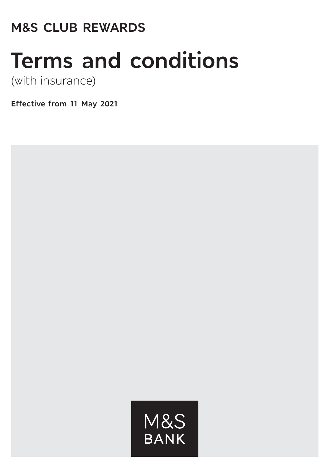# **M&S CLUB REWARDS**

# **Terms and conditions**

(with insurance)

**Effective from 11 May 2021**

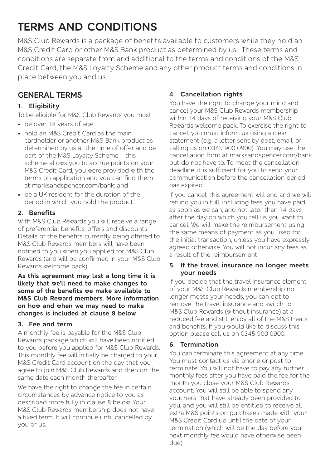# **TERMS AND CONDITIONS**

M&S Club Rewards is a package of benefits available to customers while they hold an M&S Credit Card or other M&S Bank product as determined by us. These terms and conditions are separate from and additional to the terms and conditions of the M&S Credit Card, the M&S Loyalty Scheme and any other product terms and conditions in place between you and us.

### **GENERAL TERMS**

#### **1. Eligibility**

- To be eligible for M&S Club Rewards you must:
- be over 18 years of age;
- hold an M&S Credit Card as the main cardholder or another M&S Bank product as determined by us at the time of offer and be part of the M&S Loyalty Scheme – this scheme allows you to accrue points on your M&S Credit Card, you were provided with the terms on application and you can find them at marksandspencer.com/bank; and
- be a UK resident for the duration of the period in which you hold the product.

#### **2. Benefits**

With M&S Club Rewards you will receive a range of preferential benefits, offers and discounts. Details of the benefits currently being offered to M&S Club Rewards members will have been notified to you when you applied for M&S Club Rewards (and will be confirmed in your M&S Club Rewards welcome pack).

**As this agreement may last a long time it is likely that we'll need to make changes to some of the benefits we make available to M&S Club Reward members. More information on how and when we may need to make changes is included at clause 8 below.**

#### **3. Fee and term**

A monthly fee is payable for the M&S Club Rewards package which will have been notified to you before you applied for M&S Club Rewards. This monthly fee will initially be charged to your M&S Credit Card account on the day that you agree to join M&S Club Rewards and then on the same date each month thereafter.

We have the right to change the fee in certain circumstances by advance notice to you as described more fully in clause 8 below. Your M&S Club Rewards membership does not have a fixed term. It will continue until cancelled by you or us.

#### **4. Cancellation rights**

You have the right to change your mind and cancel your M&S Club Rewards membership within 14 days of receiving your M&S Club Rewards welcome pack. To exercise the right to cancel, you must inform us using a clear statement (e.g. a letter sent by post, email, or calling us on 0345 900 0900). You may use the cancellation form at marksandspencer.com/bank but do not have to. To meet the cancellation deadline, it is sufficient for you to send your communication before the cancellation period has expired.

If you cancel, this agreement will end and we will refund you in full, including fees you have paid, as soon as we can, and not later than 14 days after the day on which you tell us you want to cancel. We will make the reimbursement using the same means of payment as you used for the initial transaction, unless you have expressly agreed otherwise. You will not incur any fees as a result of the reimbursement.

#### **5. If the travel insurance no longer meets your needs**

If you decide that the travel insurance element of your M&S Club Rewards membership no longer meets your needs, you can opt to remove the travel insurance and switch to M&S Club Rewards (without insurance) at a reduced fee and still enjoy all of the M&S treats and benefits. If you would like to discuss this option please call us on 0345 900 0900.

#### **6. Termination**

You can terminate this agreement at any time. You must contact us via phone or post to terminate. You will not have to pay any further monthly fees after you have paid the fee for the month you close your M&S Club Rewards account. You will still be able to spend any vouchers that have already been provided to you, and you will still be entitled to receive all extra M&S points on purchases made with your M&S Credit Card up until the date of your termination (which will be the day before your next monthly fee would have otherwise been due).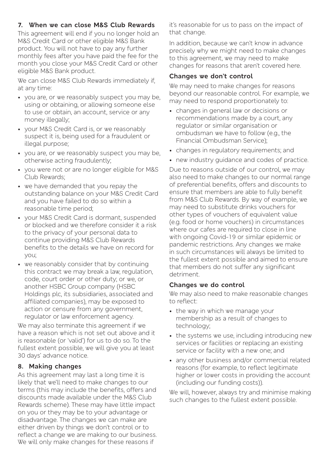#### **7. When we can close M&S Club Rewards**

This agreement will end if you no longer hold an M&S Credit Card or other eligible M&S Bank product. You will not have to pay any further monthly fees after you have paid the fee for the month you close your M&S Credit Card or other eligible M&S Bank product.

We can close M&S Club Rewards immediately if. at any time:

- you are, or we reasonably suspect you may be, using or obtaining, or allowing someone else to use or obtain, an account, service or any money illegally;
- your M&S Credit Card is, or we reasonably suspect it is, being used for a fraudulent or illegal purpose;
- you are, or we reasonably suspect you may be, otherwise acting fraudulently;
- you were not or are no longer eligible for M&S Club Rewards;
- we have demanded that you repay the outstanding balance on your M&S Credit Card and you have failed to do so within a reasonable time period;
- your M&S Credit Card is dormant, suspended or blocked and we therefore consider it a risk to the privacy of your personal data to continue providing M&S Club Rewards benefits to the details we have on record for you;
- we reasonably consider that by continuing this contract we may break a law, regulation, code, court order or other duty; or we, or another HSBC Group company (HSBC Holdings plc, its subsidiaries, associated and affiliated companies), may be exposed to action or censure from any government, regulator or law enforcement agency.

We may also terminate this agreement if we have a reason which is not set out above and it is reasonable (or 'valid') for us to do so. To the fullest extent possible, we will give you at least 30 days' advance notice.

#### **8. Making changes**

As this agreement may last a long time it is likely that we'll need to make changes to our terms (this may include the benefits, offers and discounts made available under the M&S Club Rewards scheme). These may have little impact on you or they may be to your advantage or disadvantage. The changes we can make are either driven by things we don't control or to reflect a change we are making to our business. We will only make changes for these reasons if

it's reasonable for us to pass on the impact of that change.

In addition, because we can't know in advance precisely why we might need to make changes to this agreement, we may need to make changes for reasons that aren't covered here.

#### **Changes we don't control**

We may need to make changes for reasons beyond our reasonable control. For example, we may need to respond proportionately to:

- changes in general law or decisions or recommendations made by a court, any regulator or similar organisation or ombudsman we have to follow (e.g., the Financial Ombudsman Service);
- changes in regulatory requirements; and
- new industry guidance and codes of practice.

Due to reasons outside of our control, we may also need to make changes to our normal range of preferential benefits, offers and discounts to ensure that members are able to fully benefit from M&S Club Rewards. By way of example, we may need to substitute drinks vouchers for other types of vouchers of equivalent value (e.g. food or home vouchers) in circumstances where our cafes are required to close in line with ongoing Covid-19 or similar epidemic or pandemic restrictions. Any changes we make in such circumstances will always be limited to the fullest extent possible and aimed to ensure that members do not suffer any significant detriment.

#### **Changes we do control**

We may also need to make reasonable changes to reflect:

- the way in which we manage your membership as a result of changes to technology;
- the systems we use, including introducing new services or facilities or replacing an existing service or facility with a new one; and
- any other business and/or commercial related reasons (for example, to reflect legitimate higher or lower costs in providing the account (including our funding costs)).

We will, however, always try and minimise making such changes to the fullest extent possible.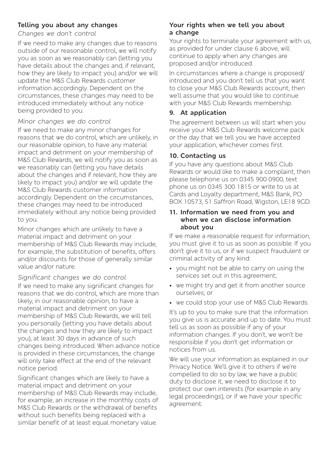#### **Telling you about any changes**

*Changes we don't control*

If we need to make any changes due to reasons outside of our reasonable control, we will notify you as soon as we reasonably can (letting you have details about the changes and, if relevant, how they are likely to impact you) and/or we will update the M&S Club Rewards customer information accordingly. Dependent on the circumstances, these changes may need to be introduced immediately without any notice being provided to you.

#### *Minor changes we do control*

If we need to make any minor changes for reasons that we do control, which are unlikely, in our reasonable opinion, to have any material impact and detriment on your membership of M&S Club Rewards, we will notify you as soon as we reasonably can (letting you have details about the changes and if relevant, how they are likely to impact you) and/or we will update the M&S Club Rewards customer information accordingly. Dependent on the circumstances, these changes may need to be introduced immediately without any notice being provided to you.

Minor changes which are unlikely to have a material impact and detriment on your membership of M&S Club Rewards may include, for example, the substitution of benefits, offers and/or discounts for those of generally similar value and/or nature.

#### *Significant changes we do control*

If we need to make any significant changes for reasons that we do control, which are more than likely, in our reasonable opinion, to have a material impact and detriment on your membership of M&S Club Rewards, we will tell you personally (letting you have details about the changes and how they are likely to impact you), at least 30 days in advance of such changes being introduced. When advance notice is provided in these circumstances, the change will only take effect at the end of the relevant notice period.

Significant changes which are likely to have a material impact and detriment on your membership of M&S Club Rewards may include, for example, an increase in the monthly costs of M&S Club Rewards or the withdrawal of benefits without such benefits being replaced with a similar benefit of at least equal monetary value.

#### **Your rights when we tell you about a change**

Your rights to terminate your agreement with us, as provided for under clause 6 above, will continue to apply when any changes are proposed and/or introduced.

In circumstances where a change is proposed/ introduced and you don't tell us that you want to close your M&S Club Rewards account, then we'll assume that you would like to continue with your M&S Club Rewards membership.

#### **9. At application**

The agreement between us will start when you receive your M&S Club Rewards welcome pack or the day that we tell you we have accepted your application, whichever comes first.

#### **10. Contacting us**

If you have any questions about M&S Club Rewards or would like to make a complaint, then please telephone us on 0345 900 0900, text phone us on 0345 300 1815 or write to us at Cards and Loyalty department, M&S Bank, PO BOX 10573, 51 Saffron Road, Wigston, LE18 9GD.

#### **11. Information we need from you and when we can disclose information about you**

If we make a reasonable request for information, you must give it to us as soon as possible. If you don't give it to us, or if we suspect fraudulent or criminal activity of any kind:

- you might not be able to carry on using the services set out in this agreement;
- we might try and get it from another source ourselves; or
- we could stop your use of M&S Club Rewards.

It's up to you to make sure that the information you give us is accurate and up to date. You must tell us as soon as possible if any of your information changes. If you don't, we won't be responsible if you don't get information or notices from us.

We will use your information as explained in our Privacy Notice. We'll give it to others if we're compelled to do so by law, we have a public duty to disclose it, we need to disclose it to protect our own interests (for example in any legal proceedings), or if we have your specific agreement.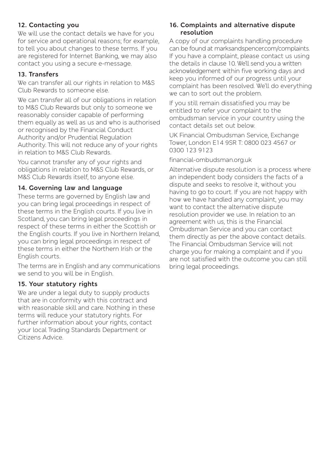#### **12. Contacting you**

We will use the contact details we have for you for service and operational reasons; for example, to tell you about changes to these terms. If you are registered for Internet Banking, we may also contact you using a secure e-message.

#### **13. Transfers**

We can transfer all our rights in relation to M&S Club Rewards to someone else.

We can transfer all of our obligations in relation to M&S Club Rewards but only to someone we reasonably consider capable of performing them equally as well as us and who is authorised or recognised by the Financial Conduct Authority and/or Prudential Regulation Authority. This will not reduce any of your rights in relation to M&S Club Rewards.

You cannot transfer any of your rights and obligations in relation to M&S Club Rewards, or M&S Club Rewards itself, to anyone else.

#### **14. Governing law and language**

These terms are governed by English law and you can bring legal proceedings in respect of these terms in the English courts. If you live in Scotland, you can bring legal proceedings in respect of these terms in either the Scottish or the English courts. If you live in Northern Ireland, you can bring legal proceedings in respect of these terms in either the Northern Irish or the English courts.

The terms are in English and any communications we send to you will be in English.

#### **15. Your statutory rights**

We are under a legal duty to supply products that are in conformity with this contract and with reasonable skill and care. Nothing in these terms will reduce your statutory rights. For further information about your rights, contact your local Trading Standards Department or Citizens Advice.

#### **16. Complaints and alternative dispute resolution**

A copy of our complaints handling procedure can be found at marksandspencer.com/complaints. If you have a complaint, please contact us using the details in clause 10. We'll send you a written acknowledgement within five working days and keep you informed of our progress until your complaint has been resolved. We'll do everything we can to sort out the problem.

If you still remain dissatisfied you may be entitled to refer your complaint to the ombudsman service in your country using the contact details set out below.

UK Financial Ombudsman Service, Exchange Tower, London E14 9SR T: 0800 023 4567 or 0300 123 9123

financial-ombudsman.org.uk

Alternative dispute resolution is a process where an independent body considers the facts of a dispute and seeks to resolve it, without you having to go to court. If you are not happy with how we have handled any complaint, you may want to contact the alternative dispute resolution provider we use. In relation to an agreement with us, this is the Financial Ombudsman Service and you can contact them directly as per the above contact details. The Financial Ombudsman Service will not charge you for making a complaint and if you are not satisfied with the outcome you can still bring legal proceedings.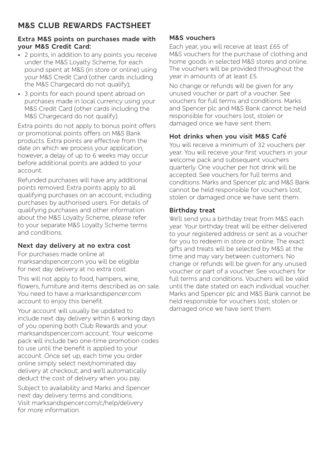## **M&S CLUB REWARDS FACTSHEET**

#### **Extra M&S points on purchases made with your M&S Credit Card:**

- 2 points, in addition to any points you receive under the M&S Loyalty Scheme, for each pound spent at M&S (in store or online) using your M&S Credit Card (other cards including the M&S Chargecard do not qualify);
- 3 points for each pound spent abroad on purchases made in local currency using your M&S Credit Card (other cards including the M&S Chargecard do not qualify).

Extra points do not apply to bonus point offers or promotional points offers on M&S Bank products. Extra points are effective from the date on which we process your application, however, a delay of up to 6 weeks may occur before additional points are added to your account.

Refunded purchases will have any additional points removed. Extra points apply to all qualifying purchases on an account, including purchases by authorised users. For details of qualifying purchases and other information about the M&S Loyalty Scheme, please refer to your separate M&S Loyalty Scheme terms and conditions.

#### **Next day delivery at no extra cost**

For purchases made online at marksandspencer.com you will be eligible for next day delivery at no extra cost.

This will not apply to food, hampers, wine, flowers, furniture and items described as on sale. You need to have a marksandspencer.com account to enjoy this benefit.

Your account will usually be updated to include next day delivery within 6 working days of you opening both Club Rewards and your marksandspencer.com account. Your welcome pack will include two one-time promotion codes to use until the benefit is applied to your account. Once set up, each time you order online simply select next/nominated day delivery at checkout, and we'll automatically deduct the cost of delivery when you pay.

Subject to availability and Marks and Spencer next day delivery terms and conditions. Visit marksandspencer.com/c/help/delivery for more information.

#### **M&S vouchers**

Each year, you will receive at least £65 of M&S vouchers for the purchase of clothing and home goods in selected M&S stores and online. The vouchers will be provided throughout the year in amounts of at least £5.

No change or refunds will be given for any unused voucher or part of a voucher. See vouchers for full terms and conditions. Marks and Spencer plc and M&S Bank cannot be held responsible for vouchers lost, stolen or damaged once we have sent them.

#### **Hot drinks when you visit M&S Café**

You will receive a minimum of 32 vouchers per year. You will receive your first vouchers in your welcome pack and subsequent vouchers quarterly. One voucher per hot drink will be accepted. See vouchers for full terms and conditions. Marks and Spencer plc and M&S Bank cannot be held responsible for vouchers lost, stolen or damaged once we have sent them.

#### **Birthday treat**

We'll send you a birthday treat from M&S each year. Your birthday treat will be either delivered to your registered address or sent as a voucher for you to redeem in store or online. The exact gifts and treats will be selected by M&S at the time and may vary between customers. No change or refunds will be given for any unused voucher or part of a voucher. See vouchers for full terms and conditions. Vouchers will be valid until the date stated on each individual voucher. Marks and Spencer plc and M&S Bank cannot be held responsible for vouchers lost, stolen or damaged once we have sent them.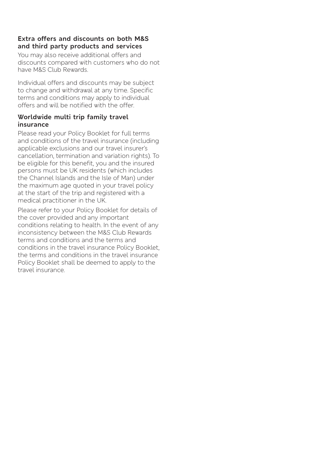#### **Extra offers and discounts on both M&S and third party products and services**

You may also receive additional offers and discounts compared with customers who do not have M&S Club Rewards.

Individual offers and discounts may be subject to change and withdrawal at any time. Specific terms and conditions may apply to individual offers and will be notified with the offer.

#### **Worldwide multi trip family travel insurance**

Please read your Policy Booklet for full terms and conditions of the travel insurance (including applicable exclusions and our travel insurer's cancellation, termination and variation rights). To be eligible for this benefit, you and the insured persons must be UK residents (which includes the Channel Islands and the Isle of Man) under the maximum age quoted in your travel policy at the start of the trip and registered with a medical practitioner in the UK.

Please refer to your Policy Booklet for details of the cover provided and any important conditions relating to health. In the event of any inconsistency between the M&S Club Rewards terms and conditions and the terms and conditions in the travel insurance Policy Booklet, the terms and conditions in the travel insurance Policy Booklet shall be deemed to apply to the travel insurance.